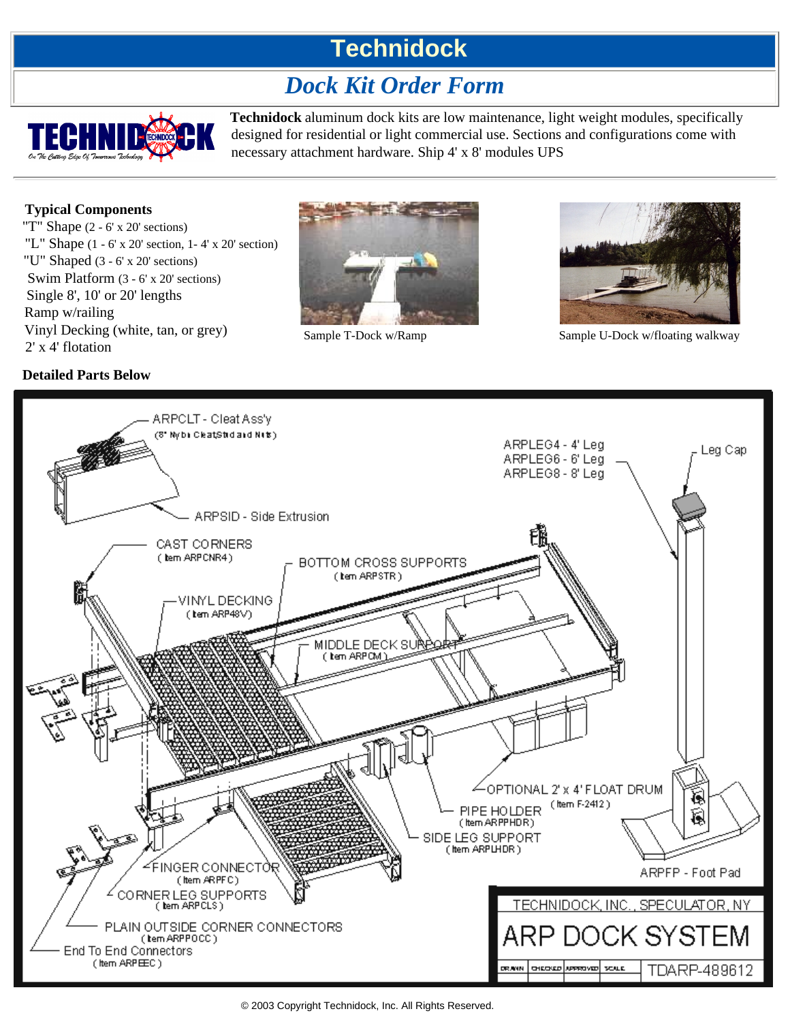# **Technidock**

## *Dock Kit Order Form*



**Technidock** aluminum dock kits are low maintenance, light weight modules, specifically designed for residential or light commercial use. Sections and configurations come with necessary attachment hardware. Ship 4' x 8' modules UPS

### **Typical Components**

**Detailed Parts Below**

"T" Shape (2 - 6' x 20' sections) "L" Shape  $(1 - 6' \times 20'$  section,  $1 - 4' \times 20'$  section) "U" Shaped (3 - 6' x 20' sections) Swim Platform (3 - 6' x 20' sections) Single 8', 10' or 20' lengths Ramp w/railing Vinyl Decking (white, tan, or grey) Vinyl Decking (white, tan, or grey) Sample T-Dock w/Ramp Sample U-Dock w/floating walkway  $2'$  x 4' flotation





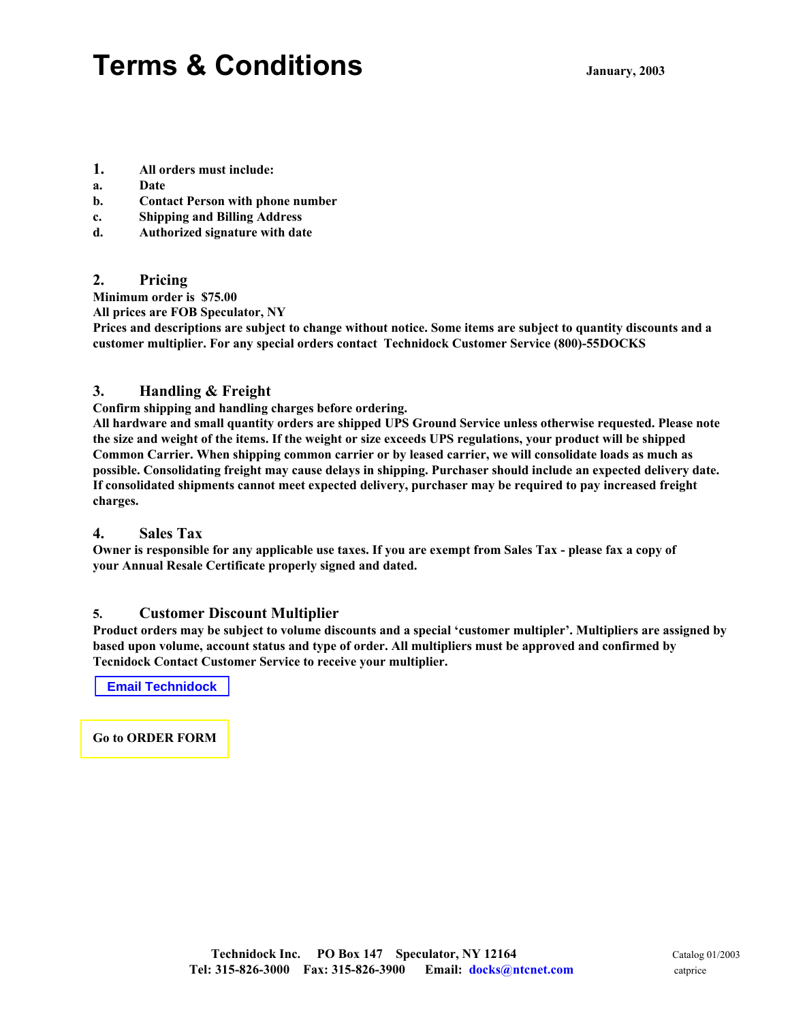# **Terms & Conditions January, 200<sup>3</sup>**

- **1. All orders must include:**
- **a. Date**
- **b. Contact Person with phone number**
- **c. Shipping and Billing Address**
- **d. Authorized signature with date**

#### **2. Pricing**

**Minimum order is \$75.00**

**All prices are FOB Speculator, NY**

**Prices and descriptions are subject to change without notice. Some items are subject to quantity discounts and a customer multiplier. For any special orders contact Technidock Customer Service (800)-55DOCKS**

### **3. Handling & Freight**

**Confirm shipping and handling charges before ordering.**

**All hardware and small quantity orders are shipped UPS Ground Service unless otherwise requested. Please note the size and weight of the items. If the weight or size exceeds UPS regulations, your product will be shipped Common Carrier. When shipping common carrier or by leased carrier, we will consolidate loads as much as possible. Consolidating freight may cause delays in shipping. Purchaser should include an expected delivery date. If consolidated shipments cannot meet expected delivery, purchaser may be required to pay increased freight charges.**

#### **4. Sales Tax**

**Owner is responsible for any applicable use taxes. If you are exempt from Sales Tax - please fax a copy of your Annual Resale Certificate properly signed and dated.**

#### **5. Customer Discount Multiplier**

**Product orders may be subject to volume discounts and a special 'customer multipler'. Multipliers are assigned by based upon volume, account status and type of order. All multipliers must be approved and confirmed by Tecnidock Contact Customer Service to receive your multiplier.**

**Email Technidock**

**Go to ORDER FORM**